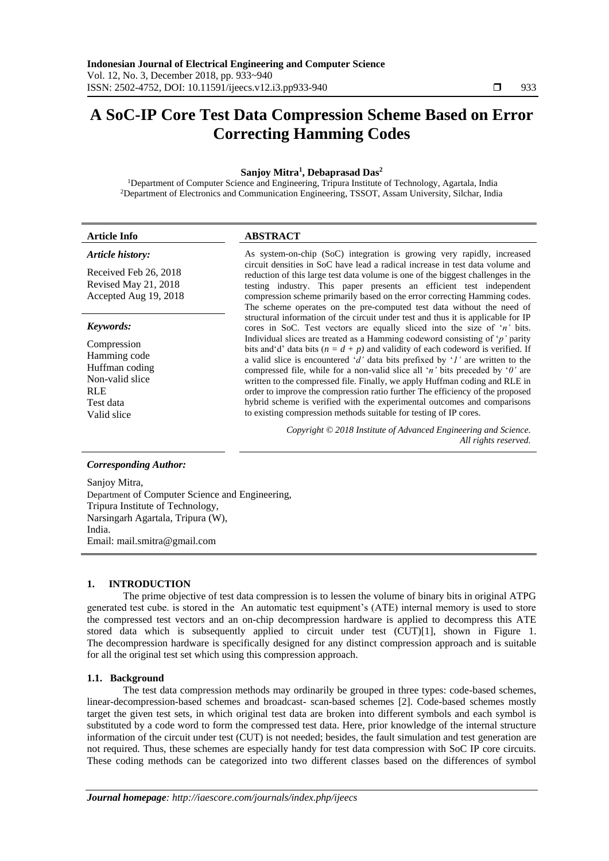# **A SoC-IP Core Test Data Compression Scheme Based on Error Correcting Hamming Codes**

## **Sanjoy Mitra<sup>1</sup> , Debaprasad Das<sup>2</sup>**

<sup>1</sup>Department of Computer Science and Engineering, Tripura Institute of Technology, Agartala, India <sup>2</sup>Department of Electronics and Communication Engineering, TSSOT, Assam University, Silchar, India

# **Article Info ABSTRACT**

#### *Article history:*

Received Feb 26, 2018 Revised May 21, 2018 Accepted Aug 19, 2018

#### *Keywords:*

Compression Hamming code Huffman coding Non-valid slice RLE Test data Valid slice

As system-on-chip (SoC) integration is growing very rapidly, increased circuit densities in SoC have lead a radical increase in test data volume and reduction of this large test data volume is one of the biggest challenges in the testing industry. This paper presents an efficient test independent compression scheme primarily based on the error correcting Hamming codes. The scheme operates on the pre-computed test data without the need of structural information of the circuit under test and thus it is applicable for IP cores in SoC. Test vectors are equally sliced into the size of '*n'* bits. Individual slices are treated as a Hamming codeword consisting of '*p'* parity bits and 'd' data bits ( $n = d + p$ ) and validity of each codeword is verified. If a valid slice is encountered '*d'* data bits prefixed by '*1'* are written to the compressed file, while for a non-valid slice all '*n'* bits preceded by '*0'* are written to the compressed file. Finally, we apply Huffman coding and RLE in order to improve the compression ratio further The efficiency of the proposed hybrid scheme is verified with the experimental outcomes and comparisons to existing compression methods suitable for testing of IP cores.

> *Copyright © 2018 Institute of Advanced Engineering and Science. All rights reserved.*

# *Corresponding Author:*

Sanjoy Mitra, Department of Computer Science and Engineering, Tripura Institute of Technology, Narsingarh Agartala, Tripura (W), India. Email: mail.smitra@gmail.com

# **1. INTRODUCTION**

The prime objective of test data compression is to lessen the volume of binary bits in original ATPG generated test cube. is stored in the An automatic test equipment's (ATE) internal memory is used to store the compressed test vectors and an on-chip decompression hardware is applied to decompress this ATE stored data which is subsequently applied to circuit under test (CUT)[1], shown in Figure 1. The decompression hardware is specifically designed for any distinct compression approach and is suitable for all the original test set which using this compression approach.

# **1.1. Background**

The test data compression methods may ordinarily be grouped in three types: code-based schemes, linear-decompression-based schemes and broadcast- scan-based schemes [2]. Code-based schemes mostly target the given test sets, in which original test data are broken into different symbols and each symbol is substituted by a code word to form the compressed test data. Here, prior knowledge of the internal structure information of the circuit under test (CUT) is not needed; besides, the fault simulation and test generation are not required. Thus, these schemes are especially handy for test data compression with SoC IP core circuits. These coding methods can be categorized into two different classes based on the differences of symbol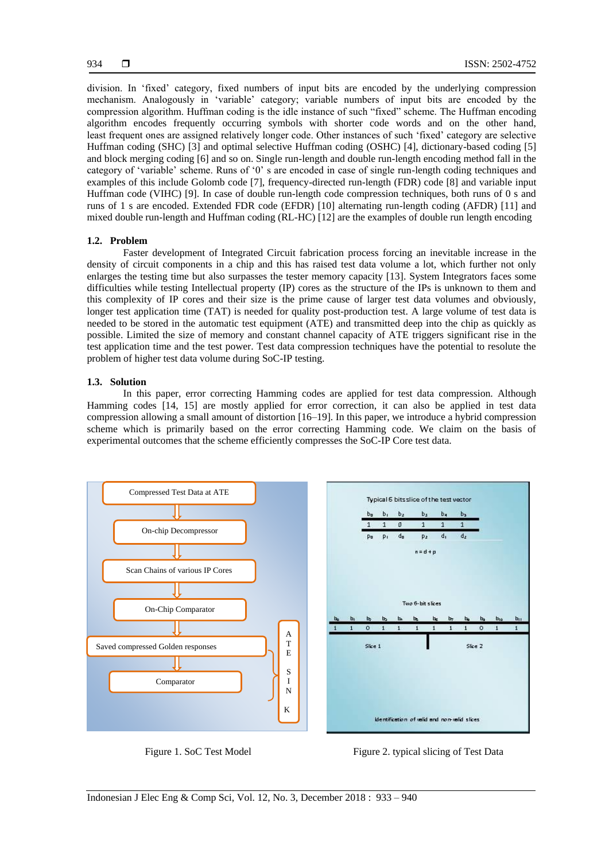division. In 'fixed' category, fixed numbers of input bits are encoded by the underlying compression mechanism. Analogously in 'variable' category; variable numbers of input bits are encoded by the compression algorithm. Huffman coding is the idle instance of such "fixed" scheme. The Huffman encoding algorithm encodes frequently occurring symbols with shorter code words and on the other hand, least frequent ones are assigned relatively longer code. Other instances of such 'fixed' category are selective Huffman coding (SHC) [3] and optimal selective Huffman coding (OSHC) [4], dictionary-based coding [5] and block merging coding [6] and so on. Single run-length and double run-length encoding method fall in the category of 'variable' scheme. Runs of '0' s are encoded in case of single run-length coding techniques and examples of this include Golomb code [7], frequency-directed run-length (FDR) code [8] and variable input Huffman code (VIHC) [9]. In case of double run-length code compression techniques, both runs of 0 s and runs of 1 s are encoded. Extended FDR code (EFDR) [10] alternating run-length coding (AFDR) [11] and mixed double run-length and Huffman coding (RL-HC) [12] are the examples of double run length encoding

## **1.2. Problem**

Faster development of Integrated Circuit fabrication process forcing an inevitable increase in the density of circuit components in a chip and this has raised test data volume a lot, which further not only enlarges the testing time but also surpasses the tester memory capacity [13]. System Integrators faces some difficulties while testing Intellectual property (IP) cores as the structure of the IPs is unknown to them and this complexity of IP cores and their size is the prime cause of larger test data volumes and obviously, longer test application time (TAT) is needed for quality post-production test. A large volume of test data is needed to be stored in the automatic test equipment (ATE) and transmitted deep into the chip as quickly as possible. Limited the size of memory and constant channel capacity of ATE triggers significant rise in the test application time and the test power. Test data compression techniques have the potential to resolute the problem of higher test data volume during SoC-IP testing.

#### **1.3. Solution**

In this paper, error correcting Hamming codes are applied for test data compression. Although Hamming codes [14, 15] are mostly applied for error correction, it can also be applied in test data compression allowing a small amount of distortion [16–19]. In this paper, we introduce a hybrid compression scheme which is primarily based on the error correcting Hamming code. We claim on the basis of experimental outcomes that the scheme efficiently compresses the SoC-IP Core test data.



Figure 1. SoC Test Model Figure 2. typical slicing of Test Data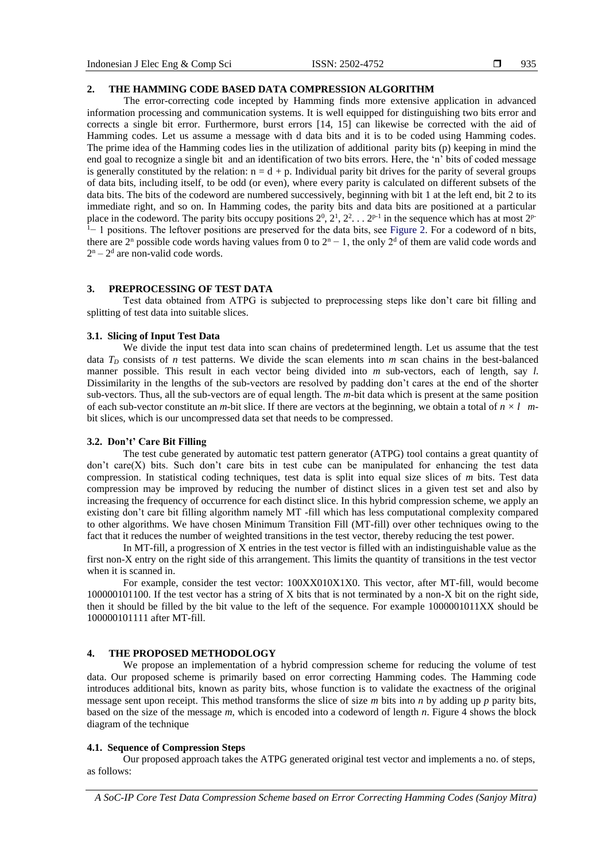#### 935

### **2. THE HAMMING CODE BASED DATA COMPRESSION ALGORITHM**

The error-correcting code incepted by Hamming finds more extensive application in advanced information processing and communication systems. It is well equipped for distinguishing two bits error and corrects a single bit error. Furthermore, burst errors [14, 15] can likewise be corrected with the aid of Hamming codes. Let us assume a message with d data bits and it is to be coded using Hamming codes. The prime idea of the Hamming codes lies in the utilization of additional parity bits (p) keeping in mind the end goal to recognize a single bit and an identification of two bits errors. Here, the 'n' bits of coded message is generally constituted by the relation:  $n = d + p$ . Individual parity bit drives for the parity of several groups of data bits, including itself, to be odd (or even), where every parity is calculated on different subsets of the data bits. The bits of the codeword are numbered successively, beginning with bit 1 at the left end, bit 2 to its immediate right, and so on. In Hamming codes, the parity bits and data bits are positioned at a particular place in the codeword. The parity bits occupy positions  $2^0$ ,  $2^1$ ,  $2^2$ ,  $2^1$ ,  $2^2$ ,  $2^1$  in the sequence which has at most  $2^{p-1}$  $1-1$  positions. The leftover positions are preserved for the data bits, see Figure 2. For a codeword of n bits, there are  $2^n$  possible code words having values from 0 to  $2^n - 1$ , the only  $2^d$  of them are valid code words and  $2^n - 2^d$  are non-valid code words.

### **3. PREPROCESSING OF TEST DATA**

Test data obtained from ATPG is subjected to preprocessing steps like don't care bit filling and splitting of test data into suitable slices.

## **3.1. Slicing of Input Test Data**

We divide the input test data into scan chains of predetermined length. Let us assume that the test data  $T<sub>D</sub>$  consists of *n* test patterns. We divide the scan elements into *m* scan chains in the best-balanced manner possible. This result in each vector being divided into *m* sub-vectors, each of length, say *l*. Dissimilarity in the lengths of the sub-vectors are resolved by padding don't cares at the end of the shorter sub-vectors. Thus, all the sub-vectors are of equal length. The *m-*bit data which is present at the same position of each sub-vector constitute an *m*-bit slice. If there are vectors at the beginning, we obtain a total of  $n \times l$  *m*bit slices, which is our uncompressed data set that needs to be compressed.

## **3.2. Don't' Care Bit Filling**

The test cube generated by automatic test pattern generator (ATPG) tool contains a great quantity of don't care(X) bits. Such don't care bits in test cube can be manipulated for enhancing the test data compression. In statistical coding techniques, test data is split into equal size slices of *m* bits. Test data compression may be improved by reducing the number of distinct slices in a given test set and also by increasing the frequency of occurrence for each distinct slice. In this hybrid compression scheme, we apply an existing don't care bit filling algorithm namely MT -fill which has less computational complexity compared to other algorithms. We have chosen Minimum Transition Fill (MT-fill) over other techniques owing to the fact that it reduces the number of weighted transitions in the test vector, thereby reducing the test power.

In MT-fill, a progression of X entries in the test vector is filled with an indistinguishable value as the first non-X entry on the right side of this arrangement. This limits the quantity of transitions in the test vector when it is scanned in.

For example, consider the test vector: 100XX010X1X0. This vector, after MT-fill, would become 100000101100. If the test vector has a string of X bits that is not terminated by a non-X bit on the right side, then it should be filled by the bit value to the left of the sequence. For example 1000001011XX should be 100000101111 after MT-fill.

#### **4. THE PROPOSED METHODOLOGY**

We propose an implementation of a hybrid compression scheme for reducing the volume of test data. Our proposed scheme is primarily based on error correcting Hamming codes. The Hamming code introduces additional bits, known as parity bits, whose function is to validate the exactness of the original message sent upon receipt. This method transforms the slice of size *m* bits into *n* by adding up *p* parity bits, based on the size of the message *m*, which is encoded into a codeword of length *n*. Figure 4 shows the block diagram of the technique

#### **4.1. Sequence of Compression Steps**

Our proposed approach takes the ATPG generated original test vector and implements a no. of steps, as follows:

*A SoC-IP Core Test Data Compression Scheme based on Error Correcting Hamming Codes (Sanjoy Mitra)*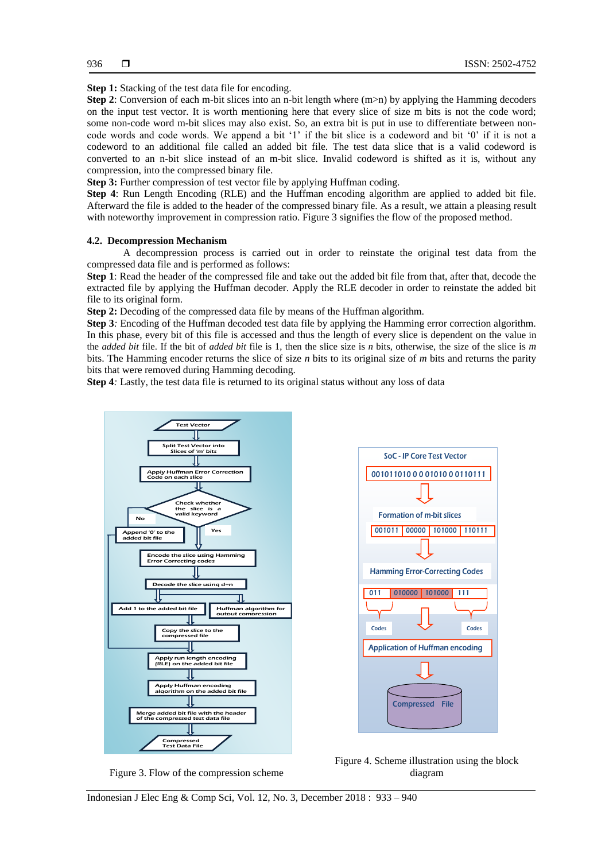**Step 1:** Stacking of the test data file for encoding.

**Step 2**: Conversion of each m-bit slices into an n-bit length where (m>n) by applying the Hamming decoders on the input test vector. It is worth mentioning here that every slice of size m bits is not the code word; some non-code word m-bit slices may also exist. So, an extra bit is put in use to differentiate between noncode words and code words. We append a bit '1' if the bit slice is a codeword and bit '0' if it is not a codeword to an additional file called an added bit file. The test data slice that is a valid codeword is converted to an n-bit slice instead of an m-bit slice. Invalid codeword is shifted as it is, without any compression, into the compressed binary file.

**Step 3:** Further compression of test vector file by applying Huffman coding.

**Step 4**: Run Length Encoding (RLE) and the Huffman encoding algorithm are applied to added bit file. Afterward the file is added to the header of the compressed binary file. As a result*,* we attain a pleasing result with noteworthy improvement in compression ratio. Figure 3 signifies the flow of the proposed method.

#### **4.2. Decompression Mechanism**

A decompression process is carried out in order to reinstate the original test data from the compressed data file and is performed as follows:

**Step 1**: Read the header of the compressed file and take out the added bit file from that, after that, decode the extracted file by applying the Huffman decoder. Apply the RLE decoder in order to reinstate the added bit file to its original form.

**Step 2:** Decoding of the compressed data file by means of the Huffman algorithm.

**Step 3***:* Encoding of the Huffman decoded test data file by applying the Hamming error correction algorithm. In this phase, every bit of this file is accessed and thus the length of every slice is dependent on the value in the *added bit* file. If the bit of *added bit* file is 1, then the slice size is *n* bits, otherwise, the size of the slice is *m* bits. The Hamming encoder returns the slice of size *n* bits to its original size of *m* bits and returns the parity bits that were removed during Hamming decoding.

**Step 4***:* Lastly, the test data file is returned to its original status without any loss of data



Figure 3. Flow of the compression scheme

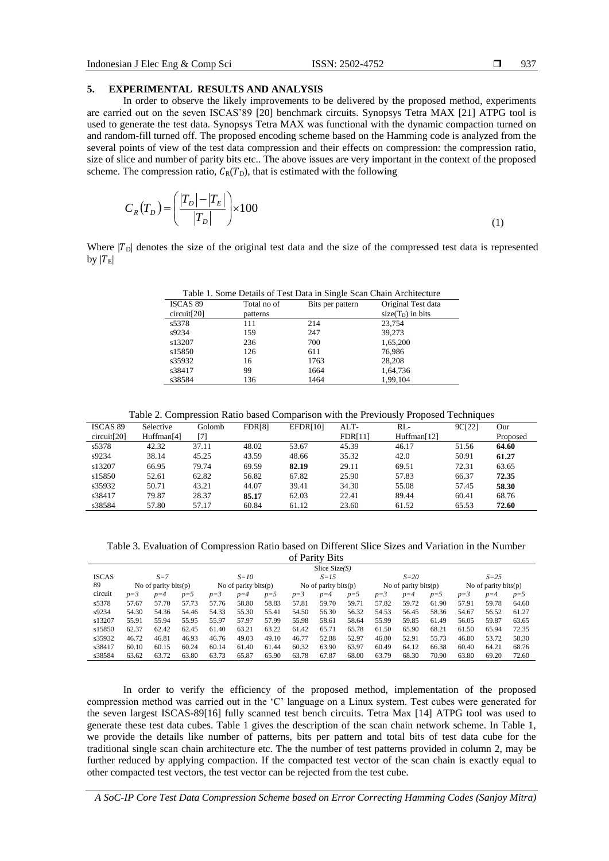937

# **5. EXPERIMENTAL RESULTS AND ANALYSIS**

In order to observe the likely improvements to be delivered by the proposed method, experiments are carried out on the seven ISCAS'89 [20] benchmark circuits. Synopsys Tetra MAX [21] ATPG tool is used to generate the test data. Synopsys Tetra MAX was functional with the dynamic compaction turned on and random-fill turned off. The proposed encoding scheme based on the Hamming code is analyzed from the several points of view of the test data compression and their effects on compression: the compression ratio, size of slice and number of parity bits etc.. The above issues are very important in the context of the proposed scheme. The compression ratio,  $C_R(T_D)$ , that is estimated with the following

$$
C_R(T_D) = \left(\frac{|T_D| - |T_E|}{|T_D|}\right) \times 100\tag{1}
$$

Where  $|T_{\text{D}}|$  denotes the size of the original test data and the size of the compressed test data is represented by  $|T_{\rm E}|$ 

Table 1. Some Details of Test Data in Single Scan Chain Architecture

|             |             | $\overline{\phantom{0}}$ |                     |  |  |  |  |
|-------------|-------------|--------------------------|---------------------|--|--|--|--|
| ISCAS 89    | Total no of | Bits per pattern         | Original Test data  |  |  |  |  |
| circuit[20] | patterns    |                          | $size(T_D)$ in bits |  |  |  |  |
| s5378       | 111         | 214                      | 23.754              |  |  |  |  |
| s9234       | 159         | 247                      | 39,273              |  |  |  |  |
| s13207      | 236         | 700                      | 1.65.200            |  |  |  |  |
| s15850      | 126         | 611                      | 76.986              |  |  |  |  |
| s35932      | 16          | 1763                     | 28,208              |  |  |  |  |
| s38417      | 99          | 1664                     | 1,64,736            |  |  |  |  |
| s38584      | 136         | 1464                     | 1.99.104            |  |  |  |  |

Table 2. Compression Ratio based Comparison with the Previously Proposed Techniques

| ISCAS 89    | Selective              | Golomb | <b>FDR[8]</b> | <b>EFDR[10]</b> | $ALT-$         | RL-         | 9C <sub>[22]</sub> | Our      |
|-------------|------------------------|--------|---------------|-----------------|----------------|-------------|--------------------|----------|
| circuit[20] | Huffman <sup>[4]</sup> | ר71    |               |                 | <b>FDR[11]</b> | Huffman[12] |                    | Proposed |
| s5378       | 42.32                  | 37.11  | 48.02         | 53.67           | 45.39          | 46.17       | 51.56              | 64.60    |
| s9234       | 38.14                  | 45.25  | 43.59         | 48.66           | 35.32          | 42.0        | 50.91              | 61.27    |
| s13207      | 66.95                  | 79.74  | 69.59         | 82.19           | 29.11          | 69.51       | 72.31              | 63.65    |
| s15850      | 52.61                  | 62.82  | 56.82         | 67.82           | 25.90          | 57.83       | 66.37              | 72.35    |
| s35932      | 50.71                  | 43.21  | 44.07         | 39.41           | 34.30          | 55.08       | 57.45              | 58.30    |
| s38417      | 79.87                  | 28.37  | 85.17         | 62.03           | 22.41          | 89.44       | 60.41              | 68.76    |
| s38584      | 57.80                  | 57.17  | 60.84         | 61.12           | 23.60          | 61.52       | 65.53              | 72.60    |

Table 3. Evaluation of Compression Ratio based on Different Slice Sizes and Variation in the Number of  $D$ ority  $D$ its

| 01 Pality DRS   |                         |       |                         |       |                         |       |        |                         |          |       |                         |       |         |       |       |
|-----------------|-------------------------|-------|-------------------------|-------|-------------------------|-------|--------|-------------------------|----------|-------|-------------------------|-------|---------|-------|-------|
| Slice $Size(S)$ |                         |       |                         |       |                         |       |        |                         |          |       |                         |       |         |       |       |
| <b>ISCAS</b>    | $S = 7$                 |       | $S=10$                  |       | $S=15$                  |       | $S=20$ |                         | $S = 25$ |       |                         |       |         |       |       |
| 89              | No of parity bits $(p)$ |       | No of parity bits $(p)$ |       | No of parity bits $(p)$ |       |        | No of parity bits $(p)$ |          |       | No of parity bits $(p)$ |       |         |       |       |
| circuit         | $p=3$                   | $p=4$ | $p=5$                   | $p=3$ | $p=4$                   | $p=5$ | $p=3$  | $p=4$                   | $p=5$    | $p=3$ | $p=4$                   | $p=5$ | $p = 3$ | $p=4$ | $p=5$ |
| s5378           | 57.67                   | 57.70 | 57.73                   | 57.76 | 58.80                   | 58.83 | 57.81  | 59.70                   | 59.71    | 57.82 | 59.72                   | 61.90 | 57.91   | 59.78 | 64.60 |
| s9234           | 54.30                   | 54.36 | 54.46                   | 54.33 | 55.30                   | 55.41 | 54.50  | 56.30                   | 56.32    | 54.53 | 56.45                   | 58.36 | 54.67   | 56.52 | 61.27 |
| s13207          | 55.91                   | 55.94 | 55.95                   | 55.97 | 57.97                   | 57.99 | 55.98  | 58.61                   | 58.64    | 55.99 | 59.85                   | 61.49 | 56.05   | 59.87 | 63.65 |
| s15850          | 62.37                   | 62.42 | 62.45                   | 61.40 | 63.21                   | 63.22 | 61.42  | 65.71                   | 65.78    | 61.50 | 65.90                   | 68.21 | 61.50   | 65.94 | 72.35 |
| s35932          | 46.72                   | 46.81 | 46.93                   | 46.76 | 49.03                   | 49.10 | 46.77  | 52.88                   | 52.97    | 46.80 | 52.91                   | 55.73 | 46.80   | 53.72 | 58.30 |
| s38417          | 60.10                   | 60.15 | 60.24                   | 60.14 | 61.40                   | 61.44 | 60.32  | 63.90                   | 63.97    | 60.49 | 64.12                   | 66.38 | 60.40   | 64.21 | 68.76 |
| s38584          | 63.62                   | 63.72 | 63.80                   | 63.73 | 65.87                   | 65.90 | 63.78  | 67.87                   | 68.00    | 63.79 | 68.30                   | 70.90 | 63.80   | 69.20 | 72.60 |

In order to verify the efficiency of the proposed method, implementation of the proposed compression method was carried out in the 'C' language on a Linux system. Test cubes were generated for the seven largest ISCAS-89[16] fully scanned test bench circuits. Tetra Max [14] ATPG tool was used to generate these test data cubes. Table 1 gives the description of the scan chain network scheme. In Table 1, we provide the details like number of patterns, bits per pattern and total bits of test data cube for the traditional single scan chain architecture etc. The the number of test patterns provided in column 2, may be further reduced by applying compaction. If the compacted test vector of the scan chain is exactly equal to other compacted test vectors, the test vector can be rejected from the test cube.

*A SoC-IP Core Test Data Compression Scheme based on Error Correcting Hamming Codes (Sanjoy Mitra)*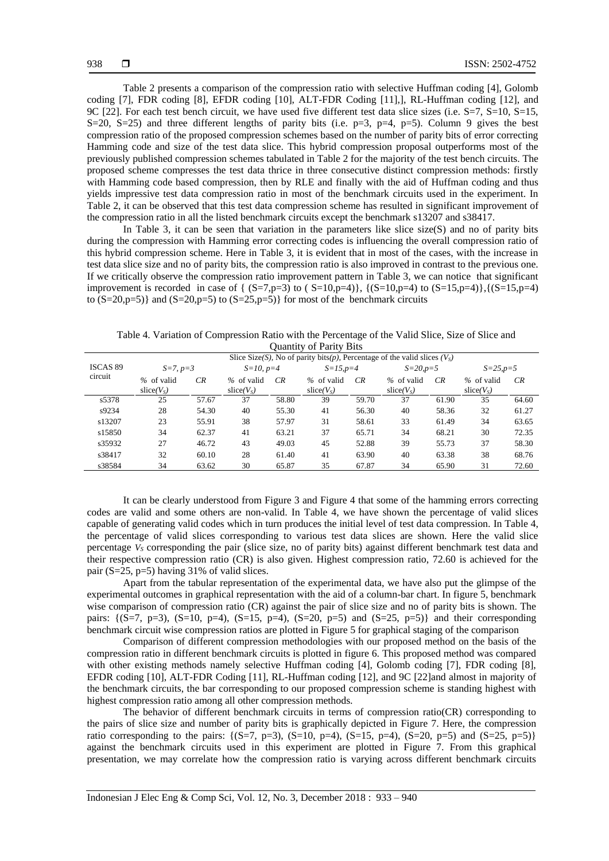Table 2 presents a comparison of the compression ratio with selective Huffman coding [4], Golomb coding [7], FDR coding [8], EFDR coding [10], ALT-FDR Coding [11],], RL-Huffman coding [12], and 9C [22]. For each test bench circuit, we have used five different test data slice sizes (i.e.  $S=7$ ,  $S=10$ ,  $S=15$ ,  $S=20$ ,  $S=25$ ) and three different lengths of parity bits (i.e.  $p=3$ ,  $p=4$ ,  $p=5$ ). Column 9 gives the best compression ratio of the proposed compression schemes based on the number of parity bits of error correcting Hamming code and size of the test data slice. This hybrid compression proposal outperforms most of the previously published compression schemes tabulated in Table 2 for the majority of the test bench circuits. The proposed scheme compresses the test data thrice in three consecutive distinct compression methods: firstly with Hamming code based compression, then by RLE and finally with the aid of Huffman coding and thus yields impressive test data compression ratio in most of the benchmark circuits used in the experiment. In Table 2, it can be observed that this test data compression scheme has resulted in significant improvement of the compression ratio in all the listed benchmark circuits except the benchmark s13207 and s38417.

In Table 3, it can be seen that variation in the parameters like slice size(S) and no of parity bits during the compression with Hamming error correcting codes is influencing the overall compression ratio of this hybrid compression scheme. Here in Table 3, it is evident that in most of the cases, with the increase in test data slice size and no of parity bits, the compression ratio is also improved in contrast to the previous one. If we critically observe the compression ratio improvement pattern in Table 3, we can notice that significant improvement is recorded in case of  $\{(S=7,p=3) \text{ to } (S=10,p=4)\}, \{(S=10,p=4) \text{ to } (S=15,p=4)\}, \{(S=15,p=4) \text{ and } (S=15,p=4) \text{ to } (S=15,p=4)\}$ to  $(S=20,p=5)$ } and  $(S=20,p=5)$  to  $(S=25,p=5)$ } for most of the benchmark circuits

Table 4. Variation of Compression Ratio with the Percentage of the Valid Slice, Size of Slice and Quantity of Parity Bits

|                     |                                                                               |       |                                        |       | $\circ$ and $\circ$ . The same $\circ$ is the same of $\circ$ |       |                                        |       |                                        |           |  |  |
|---------------------|-------------------------------------------------------------------------------|-------|----------------------------------------|-------|---------------------------------------------------------------|-------|----------------------------------------|-------|----------------------------------------|-----------|--|--|
|                     | Slice Size(S), No of parity bits(p), Percentage of the valid slices ( $V_s$ ) |       |                                        |       |                                                               |       |                                        |       |                                        |           |  |  |
| ISCAS 89<br>circuit | $S=7, p=3$                                                                    |       | $S=10, p=4$                            |       | $S = 15, p = 4$                                               |       | $S = 20, p = 5$                        |       | $S = 25, p = 5$                        |           |  |  |
|                     | % of valid<br>slice(V <sub>S</sub> )                                          | CR    | $%$ of valid<br>slice(V <sub>S</sub> ) | CR    | $%$ of valid<br>slice(V <sub>S</sub> )                        | CR    | $%$ of valid<br>slice(V <sub>S</sub> ) | CR    | $%$ of valid<br>slice(V <sub>S</sub> ) | <b>CR</b> |  |  |
| s5378               | 25                                                                            | 57.67 | 37                                     | 58.80 | 39                                                            | 59.70 | 37                                     | 61.90 | 35                                     | 64.60     |  |  |
| s9234               | 28                                                                            | 54.30 | 40                                     | 55.30 | 41                                                            | 56.30 | 40                                     | 58.36 | 32                                     | 61.27     |  |  |
| s13207              | 23                                                                            | 55.91 | 38                                     | 57.97 | 31                                                            | 58.61 | 33                                     | 61.49 | 34                                     | 63.65     |  |  |
| s15850              | 34                                                                            | 62.37 | 41                                     | 63.21 | 37                                                            | 65.71 | 34                                     | 68.21 | 30                                     | 72.35     |  |  |
| s35932              | 27                                                                            | 46.72 | 43                                     | 49.03 | 45                                                            | 52.88 | 39                                     | 55.73 | 37                                     | 58.30     |  |  |
| s38417              | 32                                                                            | 60.10 | 28                                     | 61.40 | 41                                                            | 63.90 | 40                                     | 63.38 | 38                                     | 68.76     |  |  |
| s38584              | 34                                                                            | 63.62 | 30                                     | 65.87 | 35                                                            | 67.87 | 34                                     | 65.90 | 31                                     | 72.60     |  |  |

It can be clearly understood from Figure 3 and Figure 4 that some of the hamming errors correcting codes are valid and some others are non-valid. In Table 4, we have shown the percentage of valid slices capable of generating valid codes which in turn produces the initial level of test data compression. In Table 4, the percentage of valid slices corresponding to various test data slices are shown. Here the valid slice percentage *V<sup>S</sup>* corresponding the pair (slice size, no of parity bits) against different benchmark test data and their respective compression ratio (CR) is also given. Highest compression ratio, 72.60 is achieved for the pair ( $S=25$ ,  $p=5$ ) having 31% of valid slices.

Apart from the tabular representation of the experimental data, we have also put the glimpse of the experimental outcomes in graphical representation with the aid of a column-bar chart. In figure 5, benchmark wise comparison of compression ratio (CR) against the pair of slice size and no of parity bits is shown. The pairs:  $\{ (S=7, p=3), (S=10, p=4), (S=15, p=4), (S=20, p=5) \}$  and  $(S=25, p=5)$ } and their corresponding benchmark circuit wise compression ratios are plotted in Figure 5 for graphical staging of the comparison

Comparison of different compression methodologies with our proposed method on the basis of the compression ratio in different benchmark circuits is plotted in figure 6. This proposed method was compared with other existing methods namely selective Huffman coding [4], Golomb coding [7], FDR coding [8], EFDR coding [10], ALT-FDR Coding [11], RL-Huffman coding [12], and 9C [22]and almost in majority of the benchmark circuits, the bar corresponding to our proposed compression scheme is standing highest with highest compression ratio among all other compression methods.

The behavior of different benchmark circuits in terms of compression ratio(CR) corresponding to the pairs of slice size and number of parity bits is graphically depicted in Figure 7. Here, the compression ratio corresponding to the pairs:  $\{(S=7, p=3), (S=10, p=4), (S=15, p=4), (S=20, p=5) \}$  and  $(S=25, p=5)$ } against the benchmark circuits used in this experiment are plotted in Figure 7. From this graphical presentation, we may correlate how the compression ratio is varying across different benchmark circuits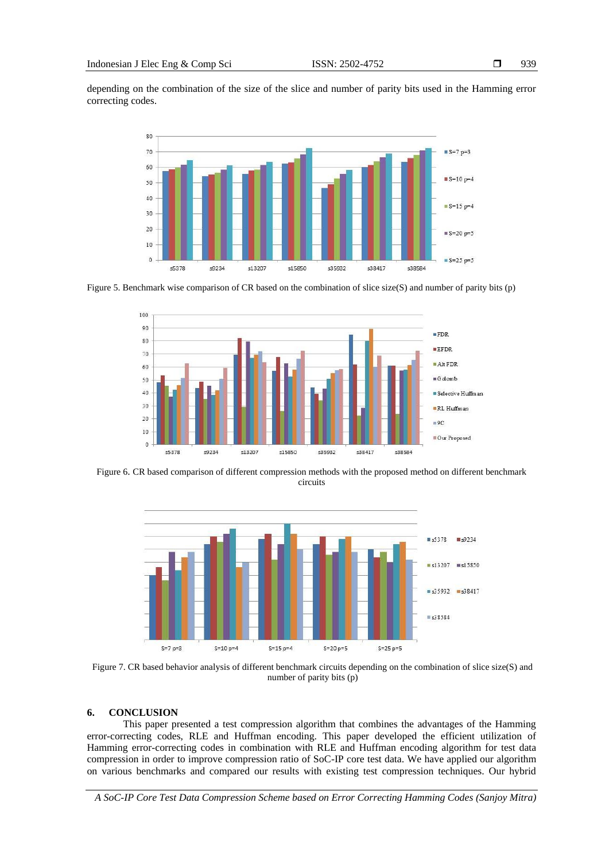depending on the combination of the size of the slice and number of parity bits used in the Hamming error correcting codes.



Figure 5. Benchmark wise comparison of CR based on the combination of slice size(S) and number of parity bits (p)



Figure 6. CR based comparison of different compression methods with the proposed method on different benchmark circuits



Figure 7. CR based behavior analysis of different benchmark circuits depending on the combination of slice size(S) and number of parity bits (p)

#### **6. CONCLUSION**

This paper presented a test compression algorithm that combines the advantages of the Hamming error-correcting codes, RLE and Huffman encoding. This paper developed the efficient utilization of Hamming error-correcting codes in combination with RLE and Huffman encoding algorithm for test data compression in order to improve compression ratio of SoC-IP core test data. We have applied our algorithm on various benchmarks and compared our results with existing test compression techniques. Our hybrid

*A SoC-IP Core Test Data Compression Scheme based on Error Correcting Hamming Codes (Sanjoy Mitra)*